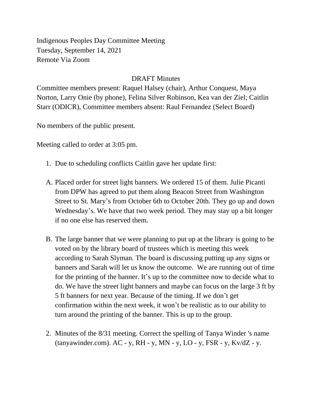Indigenous Peoples Day Committee Meeting Tuesday, September 14, 2021 Remote Via Zoom

## DRAFT Minutes

Committee members present: Raquel Halsey (chair), Arthur Conquest, Maya Norton, Larry Onie (by phone), Felina Silver Robinson, Kea van der Ziel; Caitlin Starr (ODICR), Committee members absent: Raul Fernandez (Select Board)

No members of the public present.

Meeting called to order at 3:05 pm.

- 1. Due to scheduling conflicts Caitlin gave her update first:
- A. Placed order for street light banners. We ordered 15 of them. Julie Picanti from DPW has agreed to put them along Beacon Street from Washington Street to St. Mary's from October 6th to October 20th. They go up and down Wednesday's. We have that two week period. They may stay up a bit longer if no one else has reserved them.
- B. The large banner that we were planning to put up at the library is going to be voted on by the library board of trustees which is meeting this week according to Sarah Slyman. The board is discussing putting up any signs or banners and Sarah will let us know the outcome. We are running out of time for the printing of the banner. It's up to the committee now to decide what to do. We have the street light banners and maybe can focus on the large 3 ft by 5 ft banners for next year. Because of the timing. If we don't get confirmation within the next week, it won't be realistic as to our ability to turn around the printing of the banner. This is up to the group.
- 2. Minutes of the 8/31 meeting. Correct the spelling of Tanya Winder 's name (tanyawinder.com).  $AC - y$ ,  $RH - y$ ,  $MN - y$ ,  $LO - y$ ,  $FSR - y$ ,  $Kv/dZ - y$ .